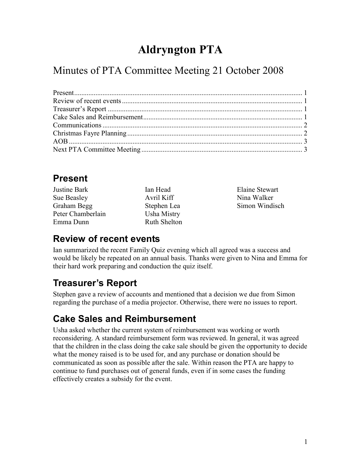# Aldryngton PTA

### Minutes of PTA Committee Meeting 21 October 2008

### Present

| Justine Bark      |
|-------------------|
| Sue Beasley       |
| Graham Begg       |
| Peter Chamberlain |
| Emma Dunn         |

Ian Head Avril Kiff Stephen Lea Usha Mistry Ruth Shelton Elaine Stewart Nina Walker Simon Windisch

#### Review of recent events

Ian summarized the recent Family Quiz evening which all agreed was a success and would be likely be repeated on an annual basis. Thanks were given to Nina and Emma for their hard work preparing and conduction the quiz itself.

### Treasurer's Report

Stephen gave a review of accounts and mentioned that a decision we due from Simon regarding the purchase of a media projector. Otherwise, there were no issues to report.

### Cake Sales and Reimbursement

Usha asked whether the current system of reimbursement was working or worth reconsidering. A standard reimbursement form was reviewed. In general, it was agreed that the children in the class doing the cake sale should be given the opportunity to decide what the money raised is to be used for, and any purchase or donation should be communicated as soon as possible after the sale. Within reason the PTA are happy to continue to fund purchases out of general funds, even if in some cases the funding effectively creates a subsidy for the event.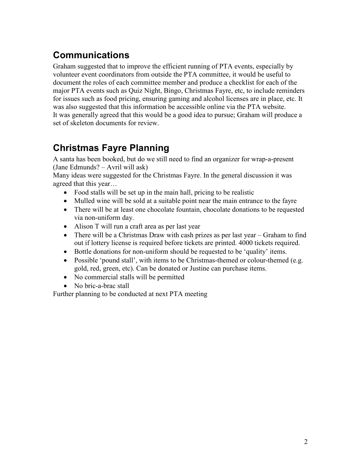### Communications

Graham suggested that to improve the efficient running of PTA events, especially by volunteer event coordinators from outside the PTA committee, it would be useful to document the roles of each committee member and produce a checklist for each of the major PTA events such as Quiz Night, Bingo, Christmas Fayre, etc, to include reminders for issues such as food pricing, ensuring gaming and alcohol licenses are in place, etc. It was also suggested that this information be accessible online via the PTA website. It was generally agreed that this would be a good idea to pursue; Graham will produce a set of skeleton documents for review.

### Christmas Fayre Planning

A santa has been booked, but do we still need to find an organizer for wrap-a-present (Jane Edmunds? – Avril will ask)

Many ideas were suggested for the Christmas Fayre. In the general discussion it was agreed that this year…

- Food stalls will be set up in the main hall, pricing to be realistic
- Mulled wine will be sold at a suitable point near the main entrance to the fayre
- There will be at least one chocolate fountain, chocolate donations to be requested via non-uniform day.
- Alison T will run a craft area as per last year
- There will be a Christmas Draw with cash prizes as per last year Graham to find out if lottery license is required before tickets are printed. 4000 tickets required.
- Bottle donations for non-uniform should be requested to be 'quality' items.
- Possible 'pound stall', with items to be Christmas-themed or colour-themed (e.g. gold, red, green, etc). Can be donated or Justine can purchase items.
- No commercial stalls will be permitted
- No bric-a-brac stall

Further planning to be conducted at next PTA meeting